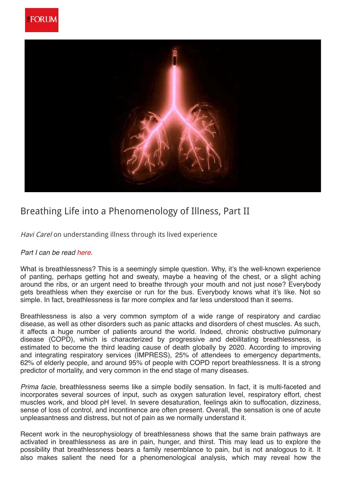



## Breathing Life into a Phenomenology of Illness, Part II

Havi Carel on understanding illness through its lived experience

## Part I can be read here.

What is breathlessness? This is a seemingly simple question. Why, it's the well-known experience of panting, perhaps getting hot and sweaty, maybe a heaving of the chest, or a slight aching around the ribs, or an urgent need to breathe through your mouth and not just nose? Everybody gets breathless when they exercise or run for the bus. Everybody knows what it's like. Not so simple. In fact, breathlessness is far more complex and far less understood than it seems.

Breathlessness is also a very common symptom of a wide range of respiratory and cardiac disease, as well as other disorders such as panic attacks and disorders of chest muscles. As such, it affects a huge number of patients around the world. Indeed, chronic obstructive pulmonary disease (COPD), which is characterized by progressive and debilitating breathlessness, is estimated to become the third leading cause of death globally by 2020. According to improving and integrating respiratory services (IMPRESS), 25% of attendees to emergency departments, 62% of elderly people, and around 95% of people with COPD report breathlessness. It is a strong predictor of mortality, and very common in the end stage of many diseases.

Prima facie, breathlessness seems like a simple bodily sensation. In fact, it is multi-faceted and incorporates several sources of input, such as oxygen saturation level, respiratory effort, chest muscles work, and blood pH level. In severe desaturation, feelings akin to suffocation, dizziness, sense of loss of control, and incontinence are often present. Overall, the sensation is one of acute unpleasantness and distress, but not of pain as we normally understand it.

Recent work in the neurophysiology of breathlessness shows that the same brain pathways are activated in breathlessness as are in pain, hunger, and thirst. This may lead us to explore the possibility that breathlessness bears a family resemblance to pain, but is not analogous to it. It also makes salient the need for a phenomenological analysis, which may reveal how the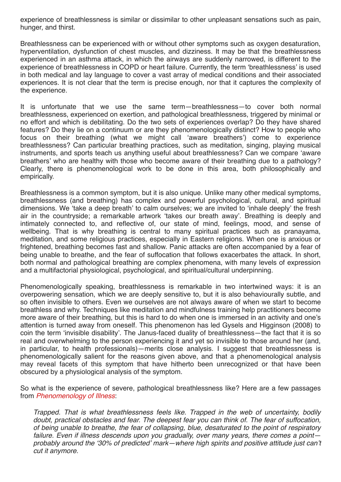experience of breathlessness is similar or dissimilar to other unpleasant sensations such as pain, hunger, and thirst.

Breathlessness can be experienced with or without other symptoms such as oxygen desaturation, hyperventilation, dysfunction of chest muscles, and dizziness. It may be that the breathlessness experienced in an asthma attack, in which the airways are suddenly narrowed, is different to the experience of breathlessness in COPD or heart failure. Currently, the term 'breathlessness' is used in both medical and lay language to cover a vast array of medical conditions and their associated experiences. It is not clear that the term is precise enough, nor that it captures the complexity of the experience.

It is unfortunate that we use the same term—breathlessness—to cover both normal breathlessness, experienced on exertion, and pathological breathlessness, triggered by minimal or no effort and which is debilitating. Do the two sets of experiences overlap? Do they have shared features? Do they lie on a continuum or are they phenomenologically distinct? How to people who focus on their breathing (what we might call 'aware breathers') come to experience breathlessness? Can particular breathing practices, such as meditation, singing, playing musical instruments, and sports teach us anything useful about breathlessness? Can we compare 'aware breathers' who are healthy with those who become aware of their breathing due to a pathology? Clearly, there is phenomenological work to be done in this area, both philosophically and empirically.

Breathlessness is a common symptom, but it is also unique. Unlike many other medical symptoms, breathlessness (and breathing) has complex and powerful psychological, cultural, and spiritual dimensions. We 'take a deep breath' to calm ourselves; we are invited to 'inhale deeply' the fresh air in the countryside; a remarkable artwork 'takes our breath away'. Breathing is deeply and intimately connected to, and reflective of, our state of mind, feelings, mood, and sense of wellbeing. That is why breathing is central to many spiritual practices such as pranayama, meditation, and some religious practices, especially in Eastern religions. When one is anxious or frightened, breathing becomes fast and shallow. Panic attacks are often accompanied by a fear of being unable to breathe, and the fear of suffocation that follows exacerbates the attack. In short, both normal and pathological breathing are complex phenomena, with many levels of expression and a multifactorial physiological, psychological, and spiritual/cultural underpinning.

Phenomenologically speaking, breathlessness is remarkable in two intertwined ways: it is an overpowering sensation, which we are deeply sensitive to, but it is also behaviourally subtle, and so often invisible to others. Even we ourselves are not always aware of when we start to become breathless and why. Techniques like meditation and mindfulness training help practitioners become more aware of their breathing, but this is hard to do when one is immersed in an activity and one's attention is turned away from oneself. This phenomenon has led Gysels and Higginson (2008) to coin the term 'invisible disability'. The Janus-faced duality of breathlessness—the fact that it is so real and overwhelming to the person experiencing it and yet so invisible to those around her (and, in particular, to health professionals)—merits close analysis. I suggest that breathlessness is phenomenologically salient for the reasons given above, and that a phenomenological analysis may reveal facets of this symptom that have hitherto been unrecognized or that have been obscured by a physiological analysis of the symptom.

So what is the experience of severe, pathological breathlessness like? Here are a few passages from Phenomenology of Illness:

Trapped. That is what breathlessness feels like. Trapped in the web of uncertainty, bodily doubt, practical obstacles and fear. The deepest fear you can think of. The fear of suffocation, of being unable to breathe, the fear of collapsing, blue, desaturated to the point of respiratory failure. Even if illness descends upon you gradually, over many years, there comes a pointprobably around the '30% of predicted' mark—where high spirits and positive attitude just can't cut it anymore.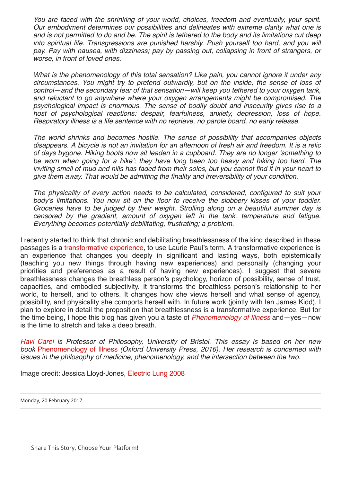You are faced with the shrinking of your world, choices, freedom and eventually, your spirit. Our embodiment determines our possibilities and delineates with extreme clarity what one is and is not permitted to do and be. The spirit is tethered to the body and its limitations cut deep into spiritual life. Transgressions are punished harshly. Push yourself too hard, and you will pay. Pay with nausea, with dizziness; pay by passing out, collapsing in front of strangers, or worse, in front of loved ones.

What is the phenomenology of this total sensation? Like pain, you cannot ignore it under any circumstances. You might try to pretend outwardly, but on the inside, the sense of loss of control—and the secondary fear of that sensation—will keep you tethered to your oxygen tank, and reluctant to go anywhere where your oxygen arrangements might be compromised. The psychological impact is enormous. The sense of bodily doubt and insecurity gives rise to a host of psychological reactions: despair, fearfulness, anxiety, depression, loss of hope. Respiratory illness is a life sentence with no reprieve, no parole board, no early release.

The world shrinks and becomes hostile. The sense of possibility that accompanies objects disappears. A bicycle is not an invitation for an afternoon of fresh air and freedom. It is a relic of days bygone. Hiking boots now sit leaden in a cupboard. They are no longer 'something to be worn when going for a hike'; they have long been too heavy and hiking too hard. The inviting smell of mud and hills has faded from their soles, but you cannot find it in your heart to give them away. That would be admitting the finality and irreversibility of your condition.

The physicality of every action needs to be calculated, considered, configured to suit your body's limitations. You now sit on the floor to receive the slobbery kisses of your toddler. Groceries have to be judged by their weight. Strolling along on a beautiful summer day is censored by the gradient, amount of oxygen left in the tank, temperature and fatigue. Everything becomes potentially debilitating, frustrating; a problem.

I recently started to think that chronic and debilitating breathlessness of the kind described in these passages is a transformative experience, to use Laurie Paul's term. A transformative experience is an experience that changes you deeply in significant and lasting ways, both epistemically (teaching you new things through having new experiences) and personally (changing your priorities and preferences as a result of having new experiences). I suggest that severe breathlessness changes the breathless person's psychology, horizon of possibility, sense of trust, capacities, and embodied subjectivity. It transforms the breathless person's relationship to her world, to herself, and to others. It changes how she views herself and what sense of agency, possibility, and physicality she comports herself with. In future work (jointly with Ian James Kidd), I plan to explore in detail the proposition that breathlessness is a transformative experience. But for the time being, I hope this blog has given you a taste of *Phenomenology of Illness* and—yes—now is the time to stretch and take a deep breath.

Havi Carel is Professor of Philosophy, University of Bristol. This essay is based on her new book Phenomenology of Illness (Oxford University Press, 2016). Her research is concerned with issues in the philosophy of medicine, phenomenology, and the intersection between the two.

Image credit: Jessica Lloyd-Jones, Electric Lung 2008

Monday, 20 February 2017